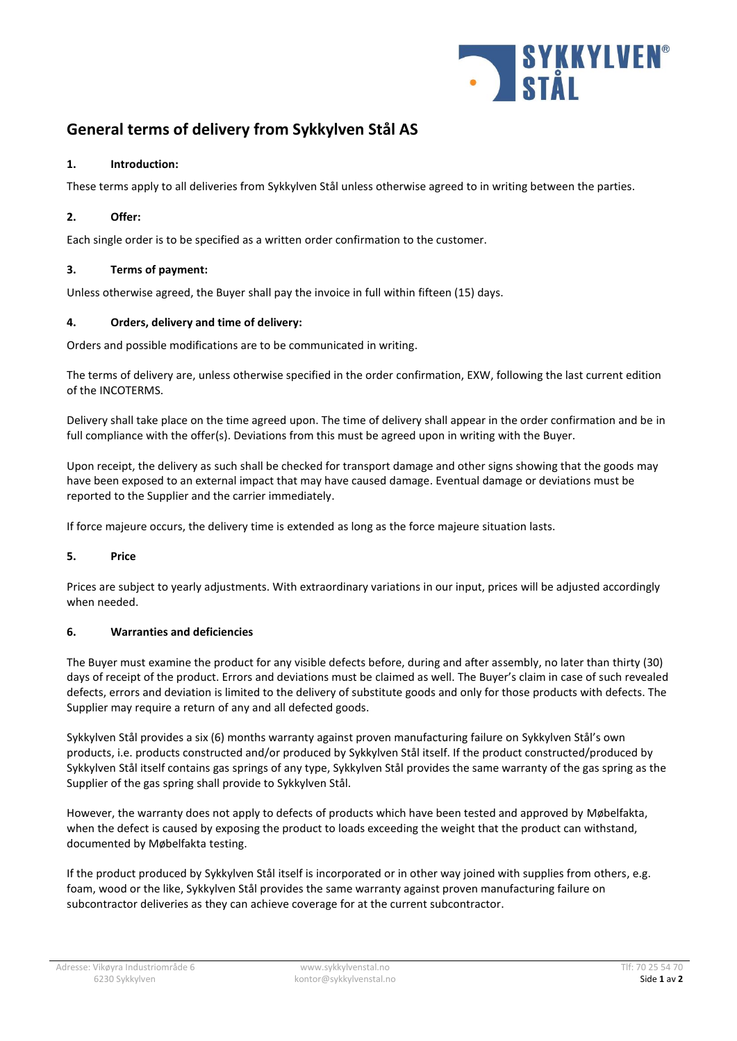

# **General terms of delivery from Sykkylven Stål AS**

## **1. Introduction:**

These terms apply to all deliveries from Sykkylven Stål unless otherwise agreed to in writing between the parties.

## **2. Offer:**

Each single order is to be specified as a written order confirmation to the customer.

## **3. Terms of payment:**

Unless otherwise agreed, the Buyer shall pay the invoice in full within fifteen (15) days.

## **4. Orders, delivery and time of delivery:**

Orders and possible modifications are to be communicated in writing.

The terms of delivery are, unless otherwise specified in the order confirmation, EXW, following the last current edition of the INCOTERMS.

Delivery shall take place on the time agreed upon. The time of delivery shall appear in the order confirmation and be in full compliance with the offer(s). Deviations from this must be agreed upon in writing with the Buyer.

Upon receipt, the delivery as such shall be checked for transport damage and other signs showing that the goods may have been exposed to an external impact that may have caused damage. Eventual damage or deviations must be reported to the Supplier and the carrier immediately.

If force majeure occurs, the delivery time is extended as long as the force majeure situation lasts.

# **5. Price**

Prices are subject to yearly adjustments. With extraordinary variations in our input, prices will be adjusted accordingly when needed.

#### **6. Warranties and deficiencies**

The Buyer must examine the product for any visible defects before, during and after assembly, no later than thirty (30) days of receipt of the product. Errors and deviations must be claimed as well. The Buyer's claim in case of such revealed defects, errors and deviation is limited to the delivery of substitute goods and only for those products with defects. The Supplier may require a return of any and all defected goods.

Sykkylven Stål provides a six (6) months warranty against proven manufacturing failure on Sykkylven Stål's own products, i.e. products constructed and/or produced by Sykkylven Stål itself. If the product constructed/produced by Sykkylven Stål itself contains gas springs of any type, Sykkylven Stål provides the same warranty of the gas spring as the Supplier of the gas spring shall provide to Sykkylven Stål.

However, the warranty does not apply to defects of products which have been tested and approved by Møbelfakta, when the defect is caused by exposing the product to loads exceeding the weight that the product can withstand, documented by Møbelfakta testing.

If the product produced by Sykkylven Stål itself is incorporated or in other way joined with supplies from others, e.g. foam, wood or the like, Sykkylven Stål provides the same warranty against proven manufacturing failure on subcontractor deliveries as they can achieve coverage for at the current subcontractor.